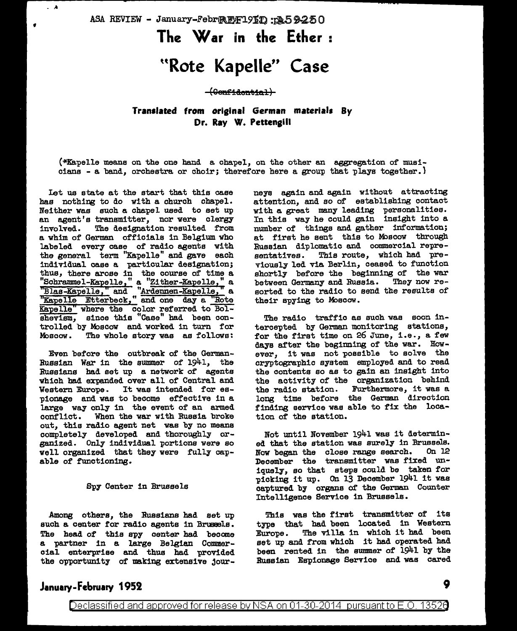ASA REVIEW - January-FebrRENF191D: : 259250

# **The War in the Ether** :

# **uRote Kapelle" Case**

#### $-(\Theta<sub>onf</sub>:<sub>dontfa</sub>)$

## **Translated from orislnal German materials By**  Dr. Ray W. Pettengill

(\*Kapelle means on the one band a chapel, on the other an aggregation of muaiciana - a band, orchestra or choir; therefore here a group that plays together.}

Let ua state at the start that this case has nothing to do with a church chapel. Neither was such a chapel used to set up an agent's transmitter, nor were clergy involved. The designation resulted from a whim of German officials in Belgium who labeled every case of radio agents with the general term "Kapelle" and gave each individual case a particular designation; thus, there arose in the course of time a "Schrammel-Kapelle," a "Zither-Kapelle," a<br>"Blas-Kapelle," and "Ardennen-Kapelle," a "Kapelle Etterbeck," and one day a "Rote Kapelle" where the color referred to Bolshevism, since this "Case" had been controlled by Moscow and worked in turn for Moscow. The whole story was as follows:

f

 $\lambda$ 

Even before the outbreak of the German-Russian War in the summer of 1941, the Russians had set up a network of agents which had expanded over all of Central and Western Europe. It was intended for espionage and was to become effective in a large way only in the event of an armed conflict. When the war with Russia broke out, this radio agent net waa by no means completely developed and thoroughly organized. Only individual portions were so well organized that they were fully capable of functioning.

#### Spy Center in Brussels

Among others, the Russians had set up such a center for radio agents in Brussels. The head of this spy center had become a partner in a large Belgian Commercial enterprise and thus had provided the opportunity of making extensive journeys again and again without attracting attention, and so of establishing contact with a great many leading personalities. In this way he could gain insight into a number of things and gather information; at first he sent this to Moscow through Russian diplomatic and commercial representatives. This route, which bad previously led via Berlin, ceased to function shortly before the beginning of the war between Germany and Russia. They now resorted to the radio to send the results of their spying to Moscow.

The radio traffic as such waa soon intercepted by German monitoring stations, for the first time on 26 June, i.e., a few days after the beginning of the war. However, it was not possible to solve the cryptographic system employed and to read the contents ao as to gain an insight into the activity of the organization behind the radio station. Furthermore, it was a long time before the German direction finding service was able to fix the location of the station.

Not until November 1941 was it determined that the station was surely in Brussels.<br>Now began the close range search. On 12 Now began the close range search. December the transmitter was fixed uniquely, so that steps could be taken for picking it up. On 13 December 1941 it was captured by organs of the German Counter Intelligence Service in Brussels.

This was the first transmitter of its type that had been located in Western Europe. The villa in which it had been set up and from which it had operated had been rented in the summer of 1941 by the Russian Espionage Service and was cared

### **January-February 1952**

**9**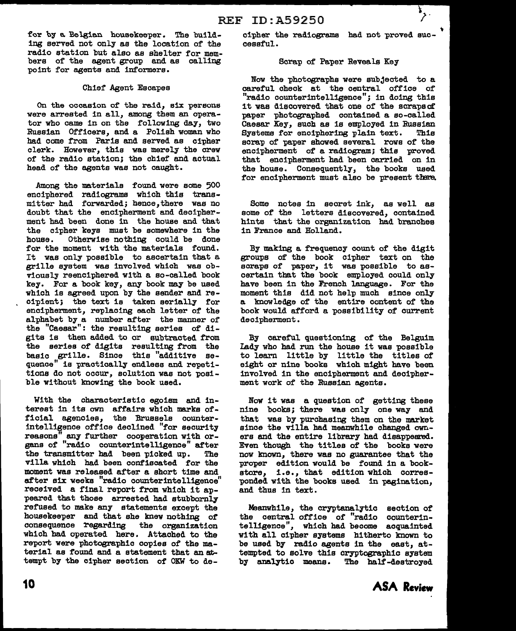for by a Belgian housekeeper. The building served not only as the location of the radio station but also as shelter for members of the agent group and as calling point for agents and informers.

#### Chief Agent Escapes

On the occasion of the raid, six persons were arrested in all, among them an operator who came in on the following day, two Russian Officers, and a Polish woman who had come from Paris and served as cipher clerk. However, this was merely the crew of the radio station; the chief and actual head of the agents was not caught.

Among the materials found were some 500 enciphered radiograms which this transmitter had forwarded; hence,there was no doubt that the encipherment and decipherment had been done in the house and that the cipher keys must be somewhere in the house. Otherwise nothing could be done Otherwise nothing could be done for the moment with the materials found. It was only possible to ascertain that a grille system was involved which was obviously reenciphered with a so-called book key. For a book key, any book may be used which is agreed upon by the sender and recipient; the text is taken serially for encipherment, replacing each letter of the alphabet by a number after the manner of the "Caesar": the resulting series of digits is then added to or subtracted from the series of digits resulting from the basic grille. Since this "additive sequence" is practically endless and repetitions do not occur, solution was not posible without knowing the book used.

With the characteristic egoism and interest in its own affairs which marks official agencies, the Brussels counterintelligence office declined "for security reasons" any further cooperation with organs of "radio counterintelligence" after the transmitter had been picked up. The villa which had been confiscated for the moment was released after a short time and after six weeks "radio counterintelligence" received a final report from which it appeared that those arrested had stubbornly refused to make any statements except the housekeeper and that she knew nothing of consequence regarding the organization which had operated here. Attached to the report were photographic copies of the material as found and a statement that an attempt by the cipher section of OKW to decipher the radiograms had not proved successful.

#### Scrap of Paper Reveals Key

Now the photographs were subjected to a careful check at the central office of "radio counterintelligence"; in doing this it was discovered that one of the scraps of paper photographed contained a so-called Caesar Key, such as is employed in Russian Systems for enciphering plain text. This scrap of paper showed several rows of the encipherment of a radiogram; this proved that encipherment had been carried on in the house. Consequently, the books used for encipherment must also be present there.

Some notes in secret ink, as well as some of the letters discovered, contained hints that the organization had branches in France and Holland.

By making a frequency count of the digit groups of the book cipher text on the scraps of paper, it was possible to ascertain that the book employed could only have been in the French language. For the moment this did not help much since only a knowledge of the entire content of the book would afford a possibility of current decipherment.

By careful questioning of the Belguim Lady who had run the house it was possible to learn little by little the titles of eight or nine books which might have been involved in the encipherment and decipherment work of the Russian agents.

Now it was a question of getting these nine books; there was only one way and that was by purchasing them on the market since the villa had meanwhile changed owners and the entire library had disappeared.. Even though the titles of the books were now known, there was no guarantee that the proper edition would be found in a bookstore, i.e., that edition which corres ponded with the books used in pagination, and thus in text.

Meanwhile, the cryptanalytic section of the central office of "radio counterintelligence", which had become acquainted with all cipher systems hitherto known to be used by radio agents in the east, attempted to solve this cryptographic system by analytic means. The half-destroyed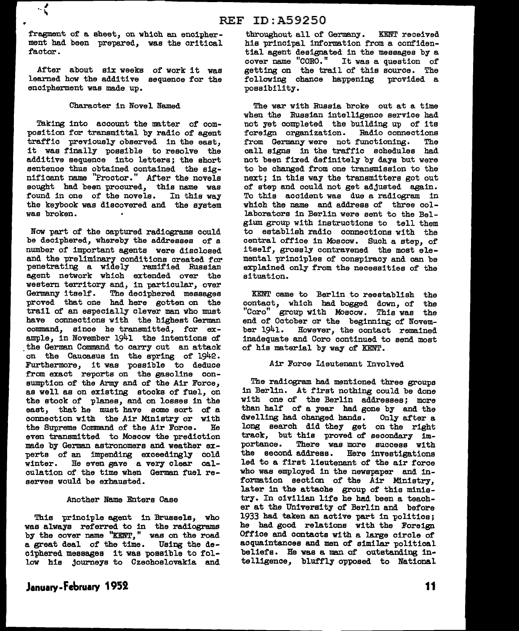fragment of a sheet, on which an encipherment had been prepared, was the critical factor.

 $\cdot$  (

After about six weeks of work it was learned how the additive sequence for the encipherment was made up.

#### Character in Novel Named

Taking into account the matter of composition for transmittal by radio of agent traffic previously observed in the east, it was finally possible to resolve the additive sequence into letters; the short sentence thus obtained contained the significant name "Proctor." After the novels sought had been procured, this name was found in one of the novels. In this way the keybook was discovered and the system was broken.

Now part of the captured radiograms could be deciphered, whereby the addresses of a number of important agents were disclosed and the preliminary conditions created for penetrating a widely ramified Russian agent network which extended over the western territory and, in particular, over Germany itself. The deciphered messages proved that one had here gotten on the trail of an especially clever man who must have connections with the highest German command, since he transmitted, for example, in November 1941 the intentions of the German Command to carry out an attack on the Caucasus in the spring of 1942. Furthermore, it was possible to deduce from exact reports on the gasoline consumption of the Army and of the Air Force, as well as on existing stocks of fuel, on the stock of planes, and on losses in the east, that he must have some sort of a connection with the Air Ministry or with<br>the Supreme Command of the Air Force. He the Supreme Command of the Air Force. even transmitted to Moscow the prediction made by German astronomers and weather experts of an impending exceedingly cold winter. He even gave a very clear calculation of the time when German fuel reserves would be exhausted.

#### Another Name Enters Case

This principle agent in Brussels, who was always referred to in the radiograms by the cover name "KENT," was on the road a great deal of the time. Using the deciphered messages it was possible to follow hie Journeys to Czechoslovakia and

**J1nu1ry-f ebruary 1952** 

## throughout all of Germany. KENT received hie principal information from a confidential agent designated in the messages by a cover name "CORO." It was a question of getting on the trail of this source. The following chance happening provided a possibility.

The war with Russia broke out at a time when the Russian intelligence service had not yet completed the building up of its foreign organization. Radio connections<br>from Germany were not functioning. The from Germany were not functioning. call signs in the traffic schedules had not been fixed definitely by days but were to be changed from one transmission to the next; in this way the transmitters got out of step and could not get adjusted again. To this accident was due a radiogram in which the name and address of three collaborators in Berlin were sent to the Belgium group with instructions to tell them to establish radio connections with the central office in Moscow. Such a step, of itself, grossly contravened the most elemental principles of conspiracy and can be explained only from the necessities of the situation.

KENT came to Berlin to reestablish the contact, which had bogged down, of the<br>"Coro" group with Moscow. This was the "Coro" group with Moscow. This was end of October or the beginning of Novem-<br>ber 1941. However, the contact remained However, the contact remained inadequate and Coro continued to send most of his material by way of KENT.

#### Air Force Lieutenant Involved

The radiogram had mentioned three groups in Berlin. At first nothing could be done with one of the Berlin addresses; more than half of a year had gone by and the dwelling had changed hands. Only after a dwelling had changed hands. long search did they get on the right track, but this proved of secondary im-<br>portance. There was more success with There was more success with the second address. Here investigations led to a first lieutenant of the air force who was employed in the newspaper and information section of the Air Ministry, later in the attache group of this ministry. In civilian life he had been a teacher at the University of Berlin and before 1933 had taken an active part in politics; he had good relations with the Foreign Office and contacts with a large circle of acquaintances and men of similar political beliefs. He was a man of outstanding intelligence, blUff'ly opposed to National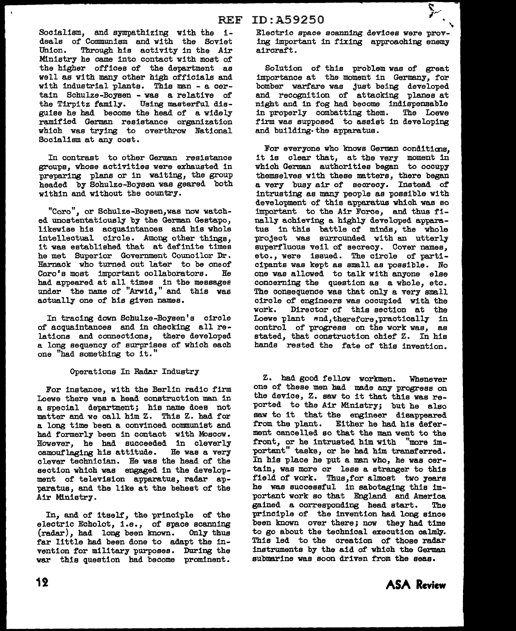Socialism, and sympathizing with the ideals of Communism and with the Soviet Union. Through his activity in the Air Ministry he came into contact with most of the higher offices of the department as well as with many other high officials and with industrial plants. This man - a certain Schulze-Boysen - was a relative of the Tirpitz family. Using masterful disguise he had become the head of a widely ramified German resistance organization which was trying to overthrow National Socialism at any cost.

In contrast to other German resistance groups, whose activities were exhausted in preparing plans or in waiting, the group headed by Schulze-Boysen was geared both within and without the country.

"Coro", or Schulze-Boysen,was now watched unostentatiouely by the German Gestapo, likewise hie acquaintances and bis whole intellectual circle. Among other things, it was established that at definite times he met Superior Government Councilor Dr. Harnack who turned out later to be one of Coro's most important collaborators. He had appeared at all times in the messagee under the name of "Arwid," and this was actually one of his given names.

In tracing down Schulze-Boysen's circle of acquaintances and in checking all relations and connections, there developed a long sequency of surprises of which each one "had something to it."

#### Operations In Radar Industry

For instance, with the Berlin radio firm Loewe there was a head construction man in a special department; his name does not matter and we call him Z. This Z. had for a long time been a convinced communist and had formerly been in contact with Moscow. However, he had succeeded in cleverly camouflaging his attitude. He was a very clever technician. He was the head of the section which was engaged in the development of television apparatus, radar apparatus, and the like at the behest of the Air Ministry.

In, and of itself, the principle of the electric Echolot, i.e., of space scanning<br>(radar). had long been known. Only thus  $(radar)$ , had long been known. far little had been done to adapt the invention for military purposes. During the war this question had become prominent.

# Electric space scanning devices were prov-

ing important in fixing approaching enemy aircraft.

Solution of this problem was of great importance at the moment in Germany, for bomber warfare was Just being developed and recognition of attacking planes at night and in fog had become indispensable in properly combatting them. The Loewe firm was supposed to assist in developing and building· the apparatus.

For everyone who knows German conditions. it is clear that, at the very moment in which German authorities began to occupy themselves with these matters, there began a very busy air of secrecy. Instead of intrusting as many people as possible with development of this apparatus which was so important to the Air Force, and thus finally achieving a highly developed apparatus in this battle of minds, the whole project was surrounded with an utterly superfluous veil of secrecy. Cover names, etc., were issued. The circle of participants was kept as small as possible. No one was allowed to talk with anyone else concerning the question as a whole, etc. The consequence was that only a very small circle of engineers was occupied with the work. Director of this section at the Loewe plant and, therefore, practically in control of progress on the work was, as stated, that construction chief Z. In his hands rested the fate of this invention.

Z. had good fellow workmen. Whenever one of these men had made any progress on the device, Z. saw to it that this was reported to the Air Ministry; but he also saw to it that the engineer disappeared<br>from the plant. Either he had his defer-Either he had his deferment cancelled so that the man went to the front, or he intrusted him with "more important" tasks, or he had him transferred. In his place he put a man who, he was certain, was more or less a stranger to this field of work. Thus, for almost two years he was successful in sabotaging this important work so that England and America gained a corresponding head start. The principle of the invention had long since been known over there; now they had time to go about the technical execution calmly. Thia led to the creation of those radar instruments by the aid of which the German submarine was soon driven from the seas.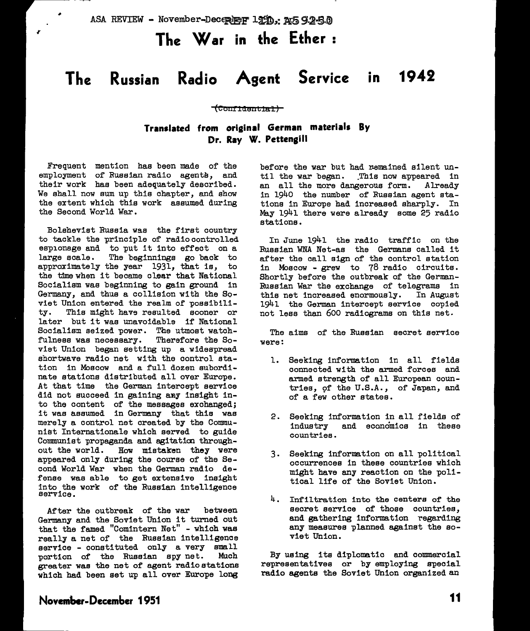ASA REVIEW - November-December 1950, 20592-50

# **The War in the Ether** :

# **The Russian Radio Agent Service in 1942**

#### **(Co1111aent±al)**

### **Translated from original German materials By**  Dr. Ray W. Pettengill

Frequent mention has been made of the  $emplogment$  of Russian radio agents, and their work has been adequately described. We shall now sum up this chapter, and show the extent which this work assumed during the Second World War.

Bolshevist Russia was the first country to tackle the principle of radiocontrolled espionage and to put it into effect on a<br>large scale. The beginnings go back to The beginnings go back to approximately the year 1931, that is, to the time when it became clear that National Socialism was beginning to gain ground in Germany, and thus a collision with the Soviet Union entered the realm of possibili-<br>ty. This might have resulted sooner or This might have resulted sooner or later but it was unavoidable if National Socialism seized power. The utmost watchfulness was necessary. Therefore the Soviet Union began setting up a widespread shortwave radio net with the control station in Moscow and a full dozen subordina te stations distributed all over Europe. At that time the German intercept service did not succeed in gaining any insight into the content of the messages exchanged; it was assumed in Germany that this was merely a control net created by the Communist Internationale which served to guide Communist propaganda and agitaticn throughout the world. How mistaken they were appeared only during the course of the Second World War when the German radio defense was able to get extensive insight into the work of the Russian intelligence service.

After the outbreak of the war between Germany and the Soviet Union it turned out that the famed "Comintern Net" - which was really a net of the Russian intelligence service - constituted only a very small<br>portion of the Russian spy net. Much portion of the Russian spy net. greater was the net of agent radio stations which had been set up all over Europe long

before the war but had remained silent until the war began. This now appeared in<br>an all the more dangerous form. Already an all the more dangerous form. in 1940 the number of Russian agent stations in Europe had increased sharply. In May 1941 there were already some 25 radio stations.

In June 1941 the radio traffic on the Russian WNA Net-as the Germans called it after the call sign of the control station in Moscow - grew to 78 radio circuits. Shortly before the outbreak of the German-Russian War the exchange of telegrams in this net increased enormously. In August 1941 the German intercept service copied not less than 600 radiograms on this net.

The aims of the Russian secret service were:

- 1. Seeking information in all fields connected with the armed forces and armed strength of all European countries, 9f the U.S.A., of Japan, and of a few other states.
- 2. Seeking information in all fields of industry and economics in these countries.
- 3. Seeking information on all political occurrences in these countries which might have any reaction on the political life of the Soviet Union.
- 4. Infiltration into the centers of the secret service of those countries, and gathering information regarding any measures planned against the soviet Union.

By using its diplomatic and commercial representatives or by employing special radio agents the Soviet Union organized an

### **Novem1>er-December 1951**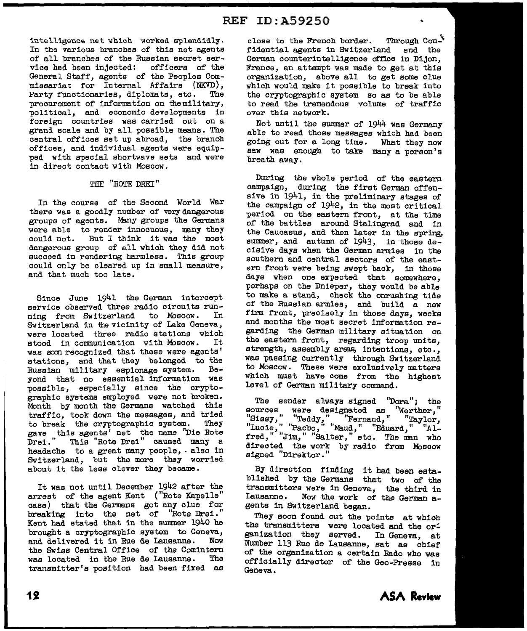intelligence net which worked splendidly. In the various branches of this net agents of all branches of the Russian secret service had been injected: officers of the General Staff, agents of the Peoples Com missariat for Internal Affairs (NKVD),<br>Party functionaries, diplomats, etc. The Party functionaries, diplomats, etc. procurement of information on themilitary, political, and economic developments in foreign countries was carried out on a grani scale and by all possible means. The central offices set up abroad, the branch offices, and individual agents were equipped with special shortwave sets and were in direct contact with Moscow.

#### THE "ROTE DREI"

In the course of the Second World War there was a goodly number of very dangerous groups of agents. Many groups the Germans were able to render innocuous, many they could not. But I think it was the moat dangerous group of all which they did not succeed in rendering harmless. This group could only be cleared up in small measure, and that much too late.

Since June 1941 the German intercept service observed three radio circuits run-<br>ning from Switzerland to Moscow. In ning from Switzerland to Moscow. Switzerland in the vicinity of Lake Geneva, were located three radio stations which<br>stood in communication with Moscow. It stood in communication with Moscow. was soon recognized that these were agents' stations, and that they belonged to the<br>Russian military espionage system. Be-Russian military espionage system. yond that no essential information was possible, especially since the cryptographic systems employed were not broken. Month by month the Germans watched this traffic, took down the messages, and tried<br>to break the cryptographic system. They to break the cryptographic system. gave this agents' net the name "Die Rote Drei." This "Rote Drei" caused many a headache to a great many people, - also in Switzerland, but the more they worried about it the less clever they became.

It was not until December 1942 after the arrest of the agent Kent ("Rote Kapelle" case) that the Germans got any clue for breaking into the net of "Rote Drei." Kent had stated that in the summer 1940 he brought a cryptographic system to Geneva,<br>and delivered it in Rue de Leusanne. Now and delivered it in Rue de Lausanne. the Swiss Central Office of the Comintern was located in the Rue de Lausanne. The transmitter's position had been fixed as

close to the French border. Through  $Con^{\mathcal{N}}$ fidential agents in Switzerland and the German counterintelligence office in Dijon, France, an attempt was made to get at this organization, above all to get some clue which would make it possible to break into the cryptographic system so as to be able to read the tremendous volume of traffic over this network.

Not until the summer of 1944 was Germany able to read those messages which had been going out for a long time. What they now saw was enough to take many a person's breath away.

During the whole period of the eastern campaign, during the first German offensive in 1941, in the preliminary stages of the campaign of 1942, in the most critical period on the eastern front, at the time of the battles around Stalingrad and in the Caucasus, and then later in the sprirg, summer, and autumn of 1943, in those decisive days when the German armies in the southern and central sectors of the eastern front were being swept back, in those days when one expected that somewhere, perhaps on the Dnieper, they would be able to make a stand, check the onrushing tide of the Russian armies, and build a new firm front, precisely in those days, weeks and months the most secret information regarding the German military situation on the eastern front, regarding troop units, strength, assembly areas, intentions, etc., was passing currently through Switzerland to Moscow. These were exclusively matters which must have come from the highest level of German military command.

The sender always signed "Dora"; the sources were designated as "Werther,"  $"S$ issy,"  $"T$ eddy,"  $"F$ ernand,"  $"T$ aylor, "Lucie," "Pacbo," "Maud," "Eduard," "A1fred," "Jim," "Salter," etc. The man who directed the work by radio from Moscow signed "Direktor."

By direction finding it had been established by the Germans that two of the transmitters were in Geneva, the third in Lausanne. Now the work of the German agents in Switzerland began.

They soon found out the points at which the transmitters were located and the organization they served. In Geneva, at Number 113 Rue de Lausanne, sat as chief of the organization a certain Rado who was officially director of the Geo-Presse in Geneva.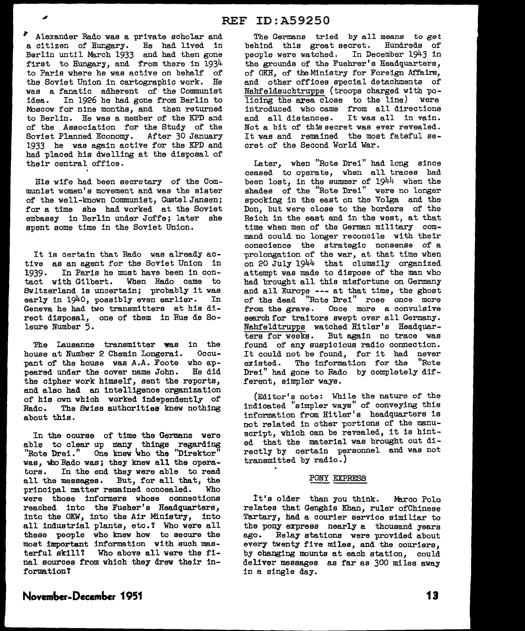Alexander Rado was a private scholar and a citizen of Hungary. He had lived in Berlin until March 1933 and had then gone first to Hungary, and from there in 1934 to Paris where he was active on behalf of the Soviet Union in cartographic work. He was a fanatic adherent of the Communist idea. In 1926 he had gone from Berlin to Moscow for nine months, and then returned to Berlin. He was a member of the KPD and of the Association for the Study of the Soviet Planned Economy. After 30 January 1933 he was again active for the KPD and had placed his dwelling at the disposal of their central office.

His wife had been secretary of the Communist women's movement and was the sister of the well-known Communist, Gustel Jansen; for a time she had worked at the Soviet embassy in Berlin under Joffe; later she spent some time in the Soviet Union.

It is certain that Rado was already active as an agent for the Soviet Union in<br>1939. In Paris he must have been in con-In Paris he must have been in contact with Gilbert. When Rado came to Switzerland is uncertain; probably it was early in 1940, possibly even earlier. In Geneva he had two transmitters at his direct disposal, one of them in Rue de Soleure Number 5.

The Lausanne transmitter was in the house at Number 2 Chemin Longerai. Occupant of the house was A.A. Foote who appeared under the cover name John. He did the cipher work himself, sent the reports, and also had an intelligence organization of his own which worked independently of<br>Rado. The Swiss authorities knew nothing The Swiss authorities knew nothing about this.

In the course of time the Germans were able to clear up many things regarding "Rote Drei." One knew 'who the "Direktor" was, who Rado was; they knew all the operators. In the end they were able to read all the messages. But, for all that, the principal matter remained concealed. Who principal matter remained concealed. were those informers whose connections reached into the Fueher's Headquarters, into the OKW, into the Air Ministry, into all industrial plants, etc.? Who were all these people who knew how to secure the moat important information with such masterful skill? Who above all were the final sources from which they drew their information?

The Germans tried by all means *to get*  behind this great secret. Hundreds of people were watched. In December 1943 in the grounds of the Fuehrer's Headquarters, of OKH, of the Ministry for Foreign Affairs, and other offices special detachments of Nahfeldsuchtrupps (troops charged with policing the area close to the line) were introduced who came from all directions and all distances. It was all in vain. Not a bit of this secret was ever revealed. It was and remained the most fateful secret of the Second World War.

Later, when "Rote Drei" had long since ceased to operate, when all traces had been lost, in the summer of 1944 when the shades of the "Rote Drei" were no longer spooking in the east on the Volga and the Don, but were close to the borders of the Reich in the east and in the west, at that time when men of the German military command could no longer reconcile with their conscience the strategic nonsense of a prolongation of the war, at that time when on 20 July 1944 that clumsily organized attempt was made to dispose of the man who had brought all this misfortune on Germany and all Europe --- at that time, the ghost of the dead "Rote Drei" rose once more from the grave. Once more a convulsive search for traitors swept over all Germany. Nahfeldtrupps watched Hitler's Headquarters for weeks. But again no trace was found of any suspicious radio connection. It could not be found, for it had never existed. The information for the "Rote Drei" had gone to Bado by completely different, simpler ways.

(Editor's note: While the nature of the indicated "simpler ways" of conveying this information from Hitler's headquarters is not related in other portions of the manuscript, which can be revealed, it is hinted that the material was brought out directly by certain personnel and was not transmitted by radio.)

#### PONY EXPRESS

It's older than you think. Marco Polo relates that Genghis Khan, ruler ofChinese Tartary, had a courier service similiar to the pony express nearly a thousand years ago. Relay stations were provided about every twenty five miles, and the couriers, by changing mounts at each station, could deliver messages as far as 300 miles away in a single day.